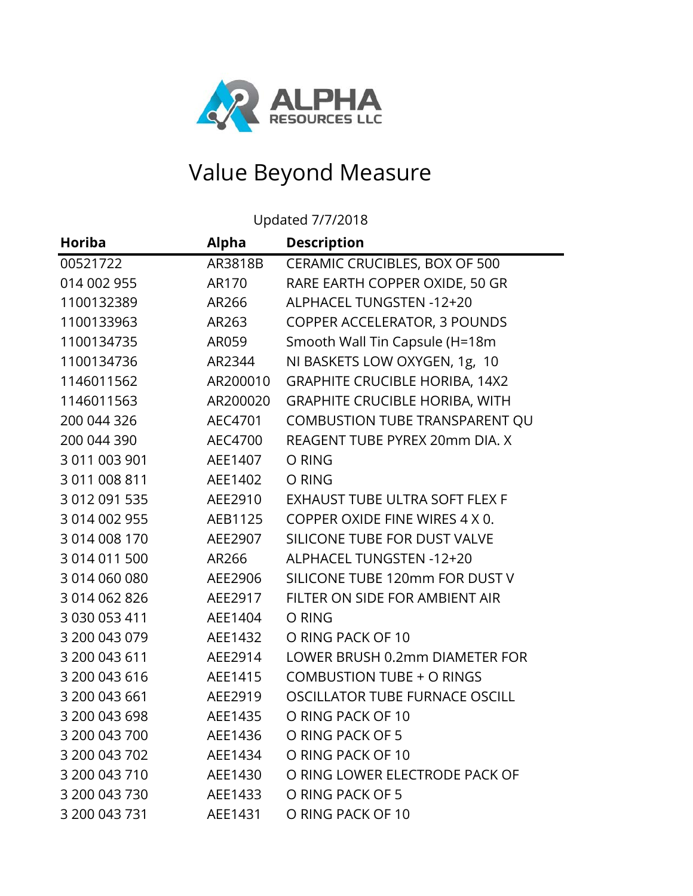

## Value Beyond Measure

Updated 7/7/2018

| <b>Horiba</b> | <b>Alpha</b> | <b>Description</b>                    |
|---------------|--------------|---------------------------------------|
| 00521722      | AR3818B      | CERAMIC CRUCIBLES, BOX OF 500         |
| 014 002 955   | AR170        | RARE EARTH COPPER OXIDE, 50 GR        |
| 1100132389    | AR266        | ALPHACEL TUNGSTEN -12+20              |
| 1100133963    | AR263        | <b>COPPER ACCELERATOR, 3 POUNDS</b>   |
| 1100134735    | AR059        | Smooth Wall Tin Capsule (H=18m        |
| 1100134736    | AR2344       | NI BASKETS LOW OXYGEN, 1g, 10         |
| 1146011562    | AR200010     | <b>GRAPHITE CRUCIBLE HORIBA, 14X2</b> |
| 1146011563    | AR200020     | <b>GRAPHITE CRUCIBLE HORIBA, WITH</b> |
| 200 044 326   | AEC4701      | COMBUSTION TUBE TRANSPARENT QU        |
| 200 044 390   | AEC4700      | REAGENT TUBE PYREX 20mm DIA. X        |
| 3 011 003 901 | AEE1407      | O RING                                |
| 3 011 008 811 | AEE1402      | O RING                                |
| 3 012 091 535 | AEE2910      | EXHAUST TUBE ULTRA SOFT FLEX F        |
| 3 014 002 955 | AEB1125      | COPPER OXIDE FINE WIRES 4 X 0.        |
| 3 014 008 170 | AEE2907      | SILICONE TUBE FOR DUST VALVE          |
| 3 014 011 500 | AR266        | ALPHACEL TUNGSTEN -12+20              |
| 3 014 060 080 | AEE2906      | SILICONE TUBE 120mm FOR DUST V        |
| 3 014 062 826 | AEE2917      | FILTER ON SIDE FOR AMBIENT AIR        |
| 3 030 053 411 | AEE1404      | O RING                                |
| 3 200 043 079 | AEE1432      | O RING PACK OF 10                     |
| 3 200 043 611 | AEE2914      | LOWER BRUSH 0.2mm DIAMETER FOR        |
| 3 200 043 616 | AEE1415      | <b>COMBUSTION TUBE + O RINGS</b>      |
| 3 200 043 661 | AEE2919      | OSCILLATOR TUBE FURNACE OSCILL        |
| 3 200 043 698 | AEE1435      | O RING PACK OF 10                     |
| 3 200 043 700 | AEE1436      | O RING PACK OF 5                      |
| 3 200 043 702 | AEE1434      | O RING PACK OF 10                     |
| 3 200 043 710 | AEE1430      | O RING LOWER ELECTRODE PACK OF        |
| 3 200 043 730 | AEE1433      | O RING PACK OF 5                      |
| 3 200 043 731 | AEE1431      | O RING PACK OF 10                     |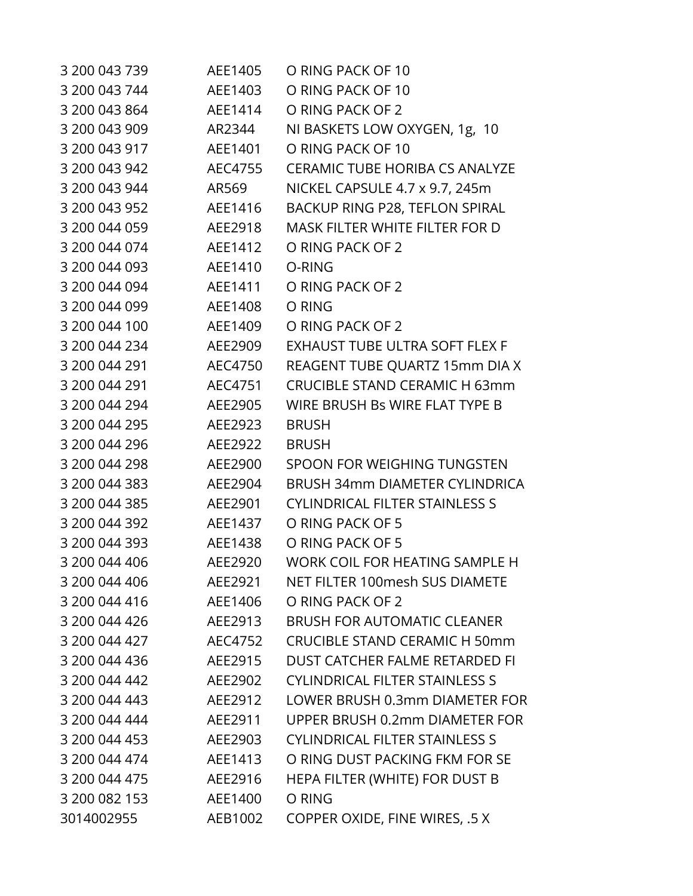| 3 200 043 739 | AEE1405 | O RING PACK OF 10                     |
|---------------|---------|---------------------------------------|
| 3 200 043 744 | AEE1403 | O RING PACK OF 10                     |
| 3 200 043 864 | AEE1414 | O RING PACK OF 2                      |
| 3 200 043 909 | AR2344  | NI BASKETS LOW OXYGEN, 1g, 10         |
| 3 200 043 917 | AEE1401 | O RING PACK OF 10                     |
| 3 200 043 942 | AEC4755 | <b>CERAMIC TUBE HORIBA CS ANALYZE</b> |
| 3 200 043 944 | AR569   | NICKEL CAPSULE 4.7 x 9.7, 245m        |
| 3 200 043 952 | AEE1416 | BACKUP RING P28, TEFLON SPIRAL        |
| 3 200 044 059 | AEE2918 | <b>MASK FILTER WHITE FILTER FOR D</b> |
| 3 200 044 074 | AEE1412 | O RING PACK OF 2                      |
| 3 200 044 093 | AEE1410 | O-RING                                |
| 3 200 044 094 | AEE1411 | O RING PACK OF 2                      |
| 3 200 044 099 | AEE1408 | O RING                                |
| 3 200 044 100 | AEE1409 | O RING PACK OF 2                      |
| 3 200 044 234 | AEE2909 | <b>EXHAUST TUBE ULTRA SOFT FLEX F</b> |
| 3 200 044 291 | AEC4750 | REAGENT TUBE QUARTZ 15mm DIA X        |
| 3 200 044 291 | AEC4751 | <b>CRUCIBLE STAND CERAMIC H 63mm</b>  |
| 3 200 044 294 | AEE2905 | WIRE BRUSH Bs WIRE FLAT TYPE B        |
| 3 200 044 295 | AEE2923 | <b>BRUSH</b>                          |
| 3 200 044 296 | AEE2922 | <b>BRUSH</b>                          |
| 3 200 044 298 | AEE2900 | SPOON FOR WEIGHING TUNGSTEN           |
| 3 200 044 383 | AEE2904 | <b>BRUSH 34mm DIAMETER CYLINDRICA</b> |
| 3 200 044 385 | AEE2901 | <b>CYLINDRICAL FILTER STAINLESS S</b> |
| 3 200 044 392 | AEE1437 | O RING PACK OF 5                      |
| 3 200 044 393 | AEE1438 | O RING PACK OF 5                      |
| 3 200 044 406 | AEE2920 | WORK COIL FOR HEATING SAMPLE H        |
| 3 200 044 406 | AEE2921 | NET FILTER 100mesh SUS DIAMETE        |
| 3 200 044 416 | AEE1406 | O RING PACK OF 2                      |
| 3 200 044 426 | AEE2913 | <b>BRUSH FOR AUTOMATIC CLEANER</b>    |
| 3 200 044 427 | AEC4752 | <b>CRUCIBLE STAND CERAMIC H 50mm</b>  |
| 3 200 044 436 | AEE2915 | DUST CATCHER FALME RETARDED FI        |
| 3 200 044 442 | AEE2902 | <b>CYLINDRICAL FILTER STAINLESS S</b> |
| 3 200 044 443 | AEE2912 | LOWER BRUSH 0.3mm DIAMETER FOR        |
| 3 200 044 444 | AEE2911 | UPPER BRUSH 0.2mm DIAMETER FOR        |
| 3 200 044 453 | AEE2903 | <b>CYLINDRICAL FILTER STAINLESS S</b> |
| 3 200 044 474 | AEE1413 | O RING DUST PACKING FKM FOR SE        |
| 3 200 044 475 | AEE2916 | HEPA FILTER (WHITE) FOR DUST B        |
| 3 200 082 153 | AEE1400 | O RING                                |
| 3014002955    | AEB1002 | COPPER OXIDE, FINE WIRES, .5 X        |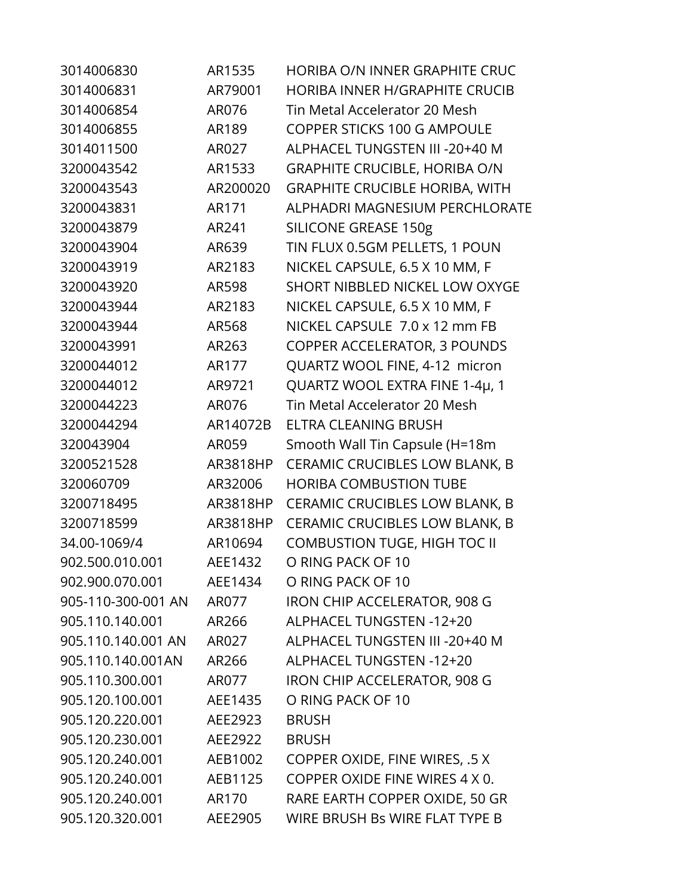| 3014006830         | AR1535   | HORIBA O/N INNER GRAPHITE CRUC        |
|--------------------|----------|---------------------------------------|
| 3014006831         | AR79001  | <b>HORIBA INNER H/GRAPHITE CRUCIB</b> |
| 3014006854         | AR076    | Tin Metal Accelerator 20 Mesh         |
| 3014006855         | AR189    | <b>COPPER STICKS 100 G AMPOULE</b>    |
| 3014011500         | AR027    | ALPHACEL TUNGSTEN III - 20+40 M       |
| 3200043542         | AR1533   | <b>GRAPHITE CRUCIBLE, HORIBA O/N</b>  |
| 3200043543         | AR200020 | <b>GRAPHITE CRUCIBLE HORIBA, WITH</b> |
| 3200043831         | AR171    | ALPHADRI MAGNESIUM PERCHLORATE        |
| 3200043879         | AR241    | <b>SILICONE GREASE 150g</b>           |
| 3200043904         | AR639    | TIN FLUX 0.5GM PELLETS, 1 POUN        |
| 3200043919         | AR2183   | NICKEL CAPSULE, 6.5 X 10 MM, F        |
| 3200043920         | AR598    | SHORT NIBBLED NICKEL LOW OXYGE        |
| 3200043944         | AR2183   | NICKEL CAPSULE, 6.5 X 10 MM, F        |
| 3200043944         | AR568    | NICKEL CAPSULE 7.0 x 12 mm FB         |
| 3200043991         | AR263    | <b>COPPER ACCELERATOR, 3 POUNDS</b>   |
| 3200044012         | AR177    | QUARTZ WOOL FINE, 4-12 micron         |
| 3200044012         | AR9721   | QUARTZ WOOL EXTRA FINE 1-4µ, 1        |
| 3200044223         | AR076    | Tin Metal Accelerator 20 Mesh         |
| 3200044294         | AR14072B | ELTRA CLEANING BRUSH                  |
| 320043904          | AR059    | Smooth Wall Tin Capsule (H=18m        |
| 3200521528         | AR3818HP | CERAMIC CRUCIBLES LOW BLANK, B        |
| 320060709          | AR32006  | <b>HORIBA COMBUSTION TUBE</b>         |
| 3200718495         | AR3818HP | CERAMIC CRUCIBLES LOW BLANK, B        |
| 3200718599         | AR3818HP | CERAMIC CRUCIBLES LOW BLANK, B        |
| 34.00-1069/4       | AR10694  | <b>COMBUSTION TUGE, HIGH TOC II</b>   |
| 902.500.010.001    | AEE1432  | O RING PACK OF 10                     |
| 902.900.070.001    | AEE1434  | O RING PACK OF 10                     |
| 905-110-300-001 AN | AR077    | IRON CHIP ACCELERATOR, 908 G          |
| 905.110.140.001    | AR266    | ALPHACEL TUNGSTEN -12+20              |
| 905.110.140.001 AN | AR027    | ALPHACEL TUNGSTEN III -20+40 M        |
| 905.110.140.001AN  | AR266    | ALPHACEL TUNGSTEN -12+20              |
| 905.110.300.001    | AR077    | IRON CHIP ACCELERATOR, 908 G          |
| 905.120.100.001    | AEE1435  | O RING PACK OF 10                     |
| 905.120.220.001    | AEE2923  | <b>BRUSH</b>                          |
| 905.120.230.001    | AEE2922  | <b>BRUSH</b>                          |
| 905.120.240.001    | AEB1002  | COPPER OXIDE, FINE WIRES, .5 X        |
| 905.120.240.001    | AEB1125  | COPPER OXIDE FINE WIRES 4 X 0.        |
| 905.120.240.001    | AR170    | RARE EARTH COPPER OXIDE, 50 GR        |
| 905.120.320.001    | AEE2905  | WIRE BRUSH Bs WIRE FLAT TYPE B        |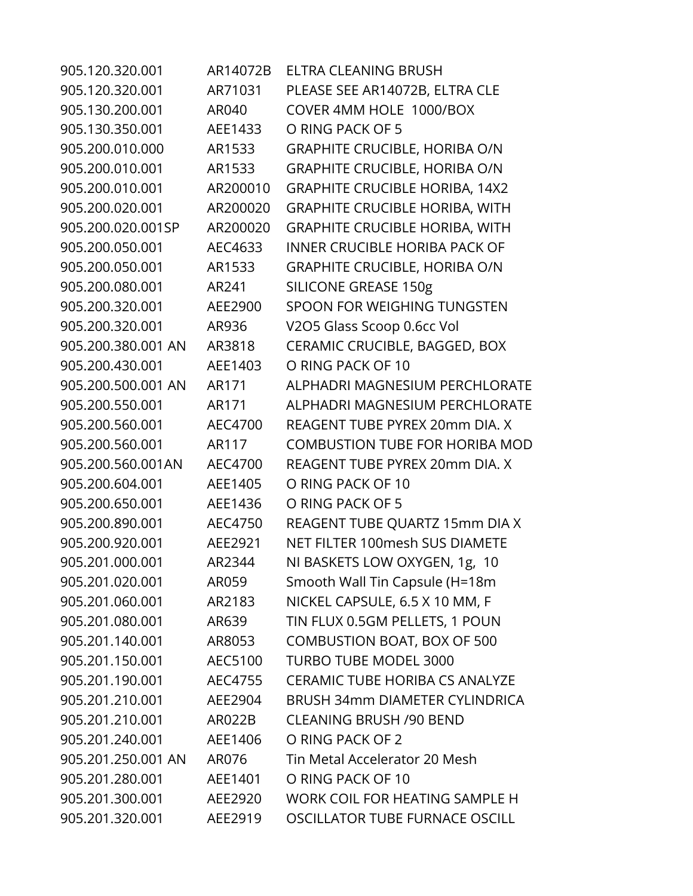| 905.120.320.001    | AR14072B | ELTRA CLEANING BRUSH                  |
|--------------------|----------|---------------------------------------|
| 905.120.320.001    | AR71031  | PLEASE SEE AR14072B, ELTRA CLE        |
| 905.130.200.001    | AR040    | COVER 4MM HOLE 1000/BOX               |
| 905.130.350.001    | AEE1433  | O RING PACK OF 5                      |
| 905.200.010.000    | AR1533   | <b>GRAPHITE CRUCIBLE, HORIBA O/N</b>  |
| 905.200.010.001    | AR1533   | <b>GRAPHITE CRUCIBLE, HORIBA O/N</b>  |
| 905.200.010.001    | AR200010 | <b>GRAPHITE CRUCIBLE HORIBA, 14X2</b> |
| 905.200.020.001    | AR200020 | <b>GRAPHITE CRUCIBLE HORIBA, WITH</b> |
| 905.200.020.001SP  | AR200020 | <b>GRAPHITE CRUCIBLE HORIBA, WITH</b> |
| 905.200.050.001    | AEC4633  | <b>INNER CRUCIBLE HORIBA PACK OF</b>  |
| 905.200.050.001    | AR1533   | <b>GRAPHITE CRUCIBLE, HORIBA O/N</b>  |
| 905.200.080.001    | AR241    | <b>SILICONE GREASE 150g</b>           |
| 905.200.320.001    | AEE2900  | SPOON FOR WEIGHING TUNGSTEN           |
| 905.200.320.001    | AR936    | V2O5 Glass Scoop 0.6cc Vol            |
| 905.200.380.001 AN | AR3818   | CERAMIC CRUCIBLE, BAGGED, BOX         |
| 905.200.430.001    | AEE1403  | O RING PACK OF 10                     |
| 905.200.500.001 AN | AR171    | ALPHADRI MAGNESIUM PERCHLORATE        |
| 905.200.550.001    | AR171    | ALPHADRI MAGNESIUM PERCHLORATE        |
| 905.200.560.001    | AEC4700  | REAGENT TUBE PYREX 20mm DIA. X        |
| 905.200.560.001    | AR117    | <b>COMBUSTION TUBE FOR HORIBA MOD</b> |
| 905.200.560.001AN  | AEC4700  | REAGENT TUBE PYREX 20mm DIA. X        |
| 905.200.604.001    | AEE1405  | O RING PACK OF 10                     |
| 905.200.650.001    | AEE1436  | O RING PACK OF 5                      |
| 905.200.890.001    | AEC4750  | REAGENT TUBE QUARTZ 15mm DIA X        |
| 905.200.920.001    | AEE2921  | NET FILTER 100mesh SUS DIAMETE        |
| 905.201.000.001    | AR2344   | NI BASKETS LOW OXYGEN, 1g, 10         |
| 905.201.020.001    | AR059    | Smooth Wall Tin Capsule (H=18m        |
| 905.201.060.001    | AR2183   | NICKEL CAPSULE, 6.5 X 10 MM, F        |
| 905.201.080.001    | AR639    | TIN FLUX 0.5GM PELLETS, 1 POUN        |
| 905.201.140.001    | AR8053   | <b>COMBUSTION BOAT, BOX OF 500</b>    |
| 905.201.150.001    | AEC5100  | <b>TURBO TUBE MODEL 3000</b>          |
| 905.201.190.001    | AEC4755  | <b>CERAMIC TUBE HORIBA CS ANALYZE</b> |
| 905.201.210.001    | AEE2904  | <b>BRUSH 34mm DIAMETER CYLINDRICA</b> |
| 905.201.210.001    | AR022B   | <b>CLEANING BRUSH /90 BEND</b>        |
| 905.201.240.001    | AEE1406  | O RING PACK OF 2                      |
| 905.201.250.001 AN | AR076    | Tin Metal Accelerator 20 Mesh         |
| 905.201.280.001    | AEE1401  | O RING PACK OF 10                     |
| 905.201.300.001    | AEE2920  | WORK COIL FOR HEATING SAMPLE H        |
| 905.201.320.001    | AEE2919  | OSCILLATOR TUBE FURNACE OSCILL        |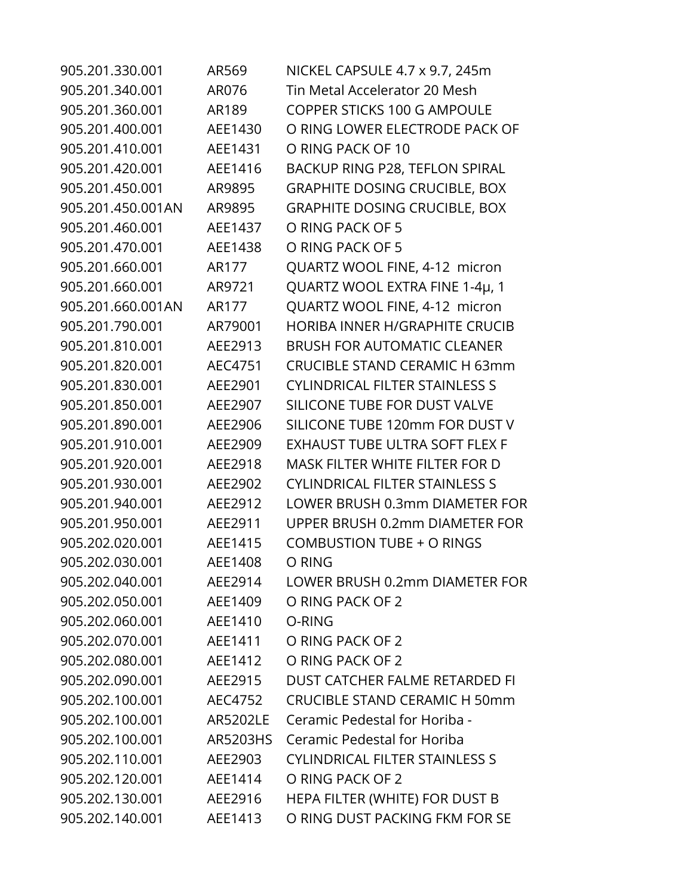| 905.201.330.001   | AR569    | NICKEL CAPSULE 4.7 x 9.7, 245m        |
|-------------------|----------|---------------------------------------|
| 905.201.340.001   | AR076    | Tin Metal Accelerator 20 Mesh         |
| 905.201.360.001   | AR189    | <b>COPPER STICKS 100 G AMPOULE</b>    |
| 905.201.400.001   | AEE1430  | O RING LOWER ELECTRODE PACK OF        |
| 905.201.410.001   | AEE1431  | O RING PACK OF 10                     |
| 905.201.420.001   | AEE1416  | BACKUP RING P28, TEFLON SPIRAL        |
| 905.201.450.001   | AR9895   | <b>GRAPHITE DOSING CRUCIBLE, BOX</b>  |
| 905.201.450.001AN | AR9895   | <b>GRAPHITE DOSING CRUCIBLE, BOX</b>  |
| 905.201.460.001   | AEE1437  | O RING PACK OF 5                      |
| 905.201.470.001   | AEE1438  | O RING PACK OF 5                      |
| 905.201.660.001   | AR177    | QUARTZ WOOL FINE, 4-12 micron         |
| 905.201.660.001   | AR9721   | QUARTZ WOOL EXTRA FINE 1-4µ, 1        |
| 905.201.660.001AN | AR177    | QUARTZ WOOL FINE, 4-12 micron         |
| 905.201.790.001   | AR79001  | <b>HORIBA INNER H/GRAPHITE CRUCIB</b> |
| 905.201.810.001   | AEE2913  | <b>BRUSH FOR AUTOMATIC CLEANER</b>    |
| 905.201.820.001   | AEC4751  | <b>CRUCIBLE STAND CERAMIC H 63mm</b>  |
| 905.201.830.001   | AEE2901  | <b>CYLINDRICAL FILTER STAINLESS S</b> |
| 905.201.850.001   | AEE2907  | SILICONE TUBE FOR DUST VALVE          |
| 905.201.890.001   | AEE2906  | SILICONE TUBE 120mm FOR DUST V        |
| 905.201.910.001   | AEE2909  | EXHAUST TUBE ULTRA SOFT FLEX F        |
| 905.201.920.001   | AEE2918  | <b>MASK FILTER WHITE FILTER FOR D</b> |
| 905.201.930.001   | AEE2902  | <b>CYLINDRICAL FILTER STAINLESS S</b> |
| 905.201.940.001   | AEE2912  | LOWER BRUSH 0.3mm DIAMETER FOR        |
| 905.201.950.001   | AEE2911  | UPPER BRUSH 0.2mm DIAMETER FOR        |
| 905.202.020.001   | AEE1415  | <b>COMBUSTION TUBE + O RINGS</b>      |
| 905.202.030.001   | AEE1408  | O RING                                |
| 905.202.040.001   | AEE2914  | LOWER BRUSH 0.2mm DIAMETER FOR        |
| 905.202.050.001   | AEE1409  | O RING PACK OF 2                      |
| 905.202.060.001   | AEE1410  | O-RING                                |
| 905.202.070.001   | AEE1411  | O RING PACK OF 2                      |
| 905.202.080.001   | AEE1412  | O RING PACK OF 2                      |
| 905.202.090.001   | AEE2915  | DUST CATCHER FALME RETARDED FI        |
| 905.202.100.001   | AEC4752  | <b>CRUCIBLE STAND CERAMIC H 50mm</b>  |
| 905.202.100.001   | AR5202LE | Ceramic Pedestal for Horiba -         |
| 905.202.100.001   | AR5203HS | Ceramic Pedestal for Horiba           |
| 905.202.110.001   | AEE2903  | <b>CYLINDRICAL FILTER STAINLESS S</b> |
| 905.202.120.001   | AEE1414  | O RING PACK OF 2                      |
| 905.202.130.001   | AEE2916  | HEPA FILTER (WHITE) FOR DUST B        |
| 905.202.140.001   | AEE1413  | O RING DUST PACKING FKM FOR SE        |